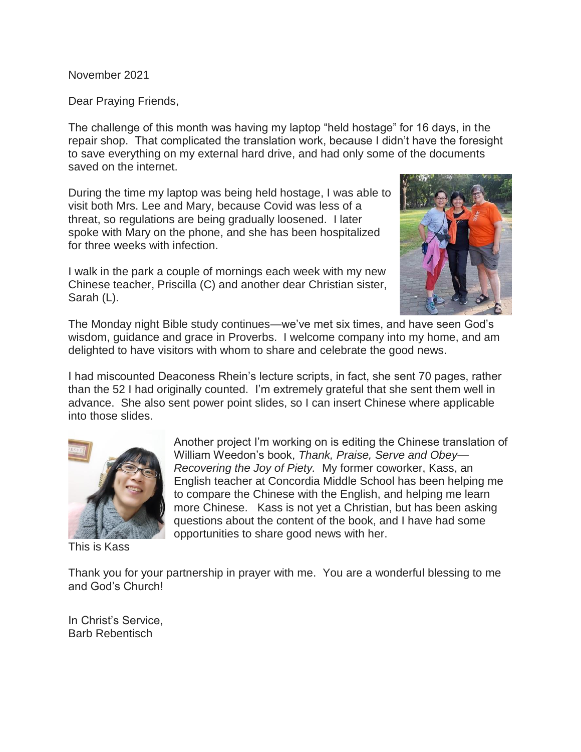November 2021

Dear Praying Friends,

The challenge of this month was having my laptop "held hostage" for 16 days, in the repair shop. That complicated the translation work, because I didn't have the foresight to save everything on my external hard drive, and had only some of the documents saved on the internet.

During the time my laptop was being held hostage, I was able to visit both Mrs. Lee and Mary, because Covid was less of a threat, so regulations are being gradually loosened. I later spoke with Mary on the phone, and she has been hospitalized for three weeks with infection.

I walk in the park a couple of mornings each week with my new Chinese teacher, Priscilla (C) and another dear Christian sister, Sarah (L).



The Monday night Bible study continues—we've met six times, and have seen God's wisdom, guidance and grace in Proverbs. I welcome company into my home, and am delighted to have visitors with whom to share and celebrate the good news.

I had miscounted Deaconess Rhein's lecture scripts, in fact, she sent 70 pages, rather than the 52 I had originally counted. I'm extremely grateful that she sent them well in advance. She also sent power point slides, so I can insert Chinese where applicable into those slides.



This is Kass

Another project I'm working on is editing the Chinese translation of William Weedon's book, *Thank, Praise, Serve and Obey— Recovering the Joy of Piety.* My former coworker, Kass, an English teacher at Concordia Middle School has been helping me to compare the Chinese with the English, and helping me learn more Chinese. Kass is not yet a Christian, but has been asking questions about the content of the book, and I have had some opportunities to share good news with her.

Thank you for your partnership in prayer with me. You are a wonderful blessing to me and God's Church!

In Christ's Service, Barb Rebentisch